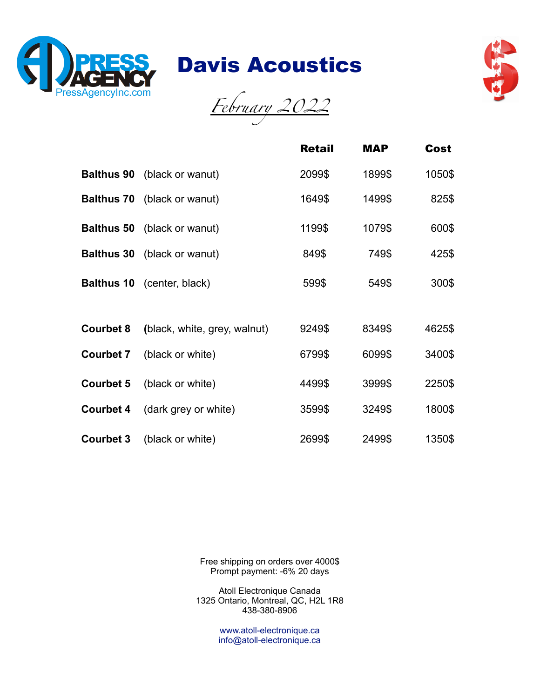

Davis Acoustics



*February 2022*

|                   |                                    | <b>Retail</b> | <b>MAP</b> | Cost   |
|-------------------|------------------------------------|---------------|------------|--------|
|                   | <b>Balthus 90</b> (black or wanut) | 2099\$        | 1899\$     | 1050\$ |
|                   | <b>Balthus 70</b> (black or wanut) | 1649\$        | 1499\$     | 825\$  |
|                   | <b>Balthus 50</b> (black or wanut) | 1199\$        | 1079\$     | 600\$  |
| <b>Balthus 30</b> | (black or wanut)                   | 849\$         | 749\$      | 425\$  |
|                   | <b>Balthus 10</b> (center, black)  | 599\$         | 549\$      | 300\$  |
| <b>Courbet 8</b>  | (black, white, grey, walnut)       | 9249\$        | 8349\$     | 4625\$ |
| <b>Courbet 7</b>  | (black or white)                   | 6799\$        | 6099\$     | 3400\$ |
| <b>Courbet 5</b>  | (black or white)                   | 4499\$        | 3999\$     | 2250\$ |
| <b>Courbet 4</b>  | (dark grey or white)               | 3599\$        | 3249\$     | 1800\$ |
| <b>Courbet 3</b>  | (black or white)                   | 2699\$        | 2499\$     | 1350\$ |

Free shipping on orders over 4000\$ Prompt payment: -6% 20 days

Atoll Electronique Canada 1325 Ontario, Montreal, QC, H2L 1R8 438-380-8906

> www.atoll-electronique.ca info@atoll-electronique.ca